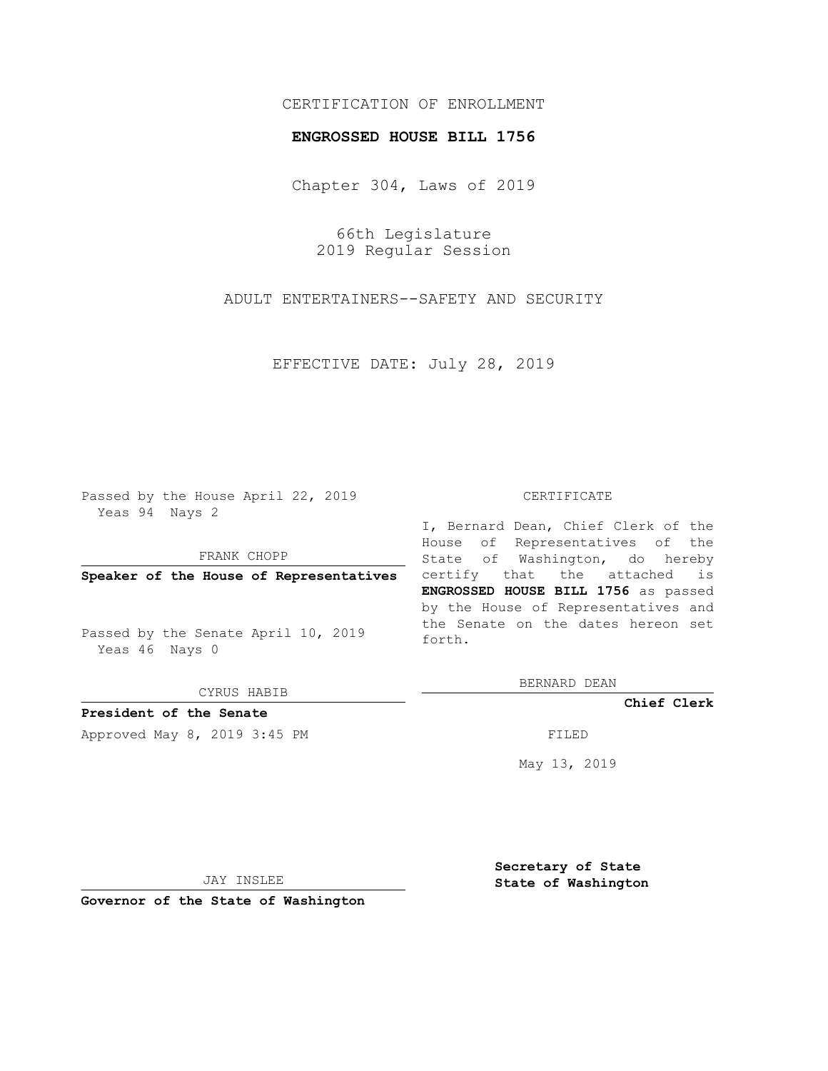## CERTIFICATION OF ENROLLMENT

### **ENGROSSED HOUSE BILL 1756**

Chapter 304, Laws of 2019

66th Legislature 2019 Regular Session

ADULT ENTERTAINERS--SAFETY AND SECURITY

EFFECTIVE DATE: July 28, 2019

Passed by the House April 22, 2019 Yeas 94 Nays 2

FRANK CHOPP

**Speaker of the House of Representatives**

Passed by the Senate April 10, 2019 Yeas 46 Nays 0

CYRUS HABIB

# **President of the Senate**

Approved May 8, 2019 3:45 PM

#### CERTIFICATE

I, Bernard Dean, Chief Clerk of the House of Representatives of the State of Washington, do hereby certify that the attached is **ENGROSSED HOUSE BILL 1756** as passed by the House of Representatives and the Senate on the dates hereon set forth.

BERNARD DEAN

**Chief Clerk**

May 13, 2019

JAY INSLEE

**Governor of the State of Washington**

**Secretary of State State of Washington**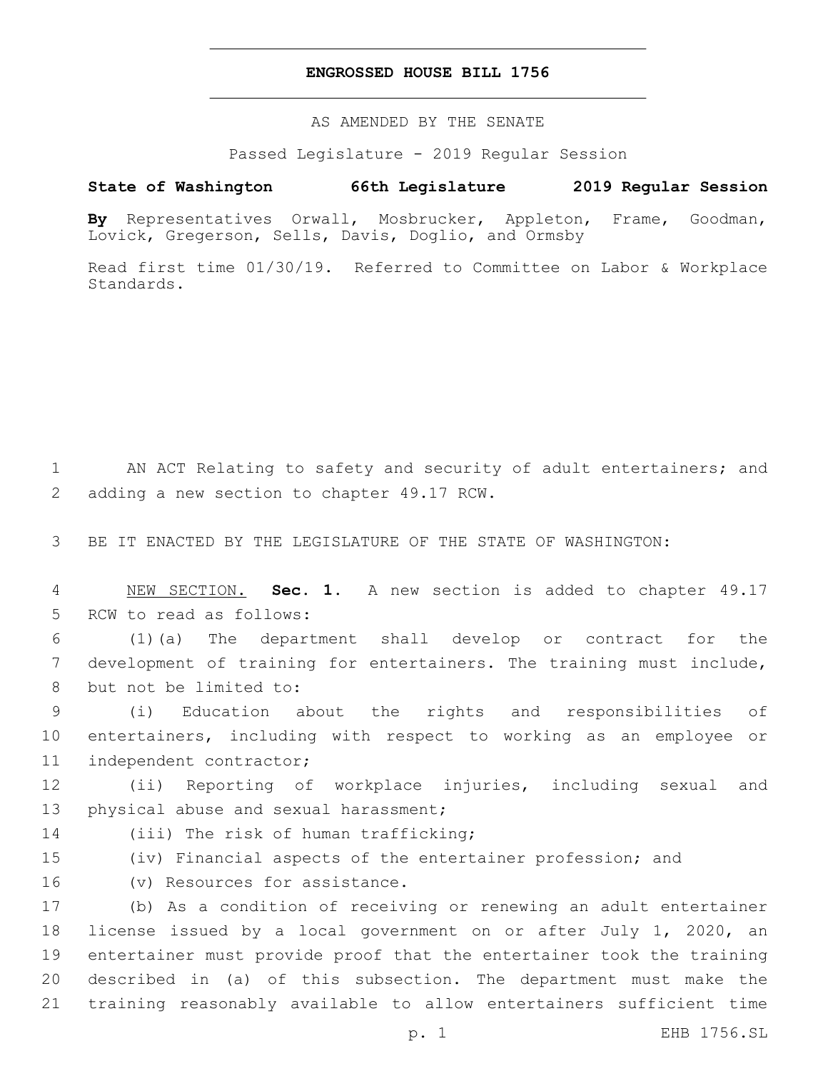### **ENGROSSED HOUSE BILL 1756**

AS AMENDED BY THE SENATE

Passed Legislature - 2019 Regular Session

# **State of Washington 66th Legislature 2019 Regular Session**

**By** Representatives Orwall, Mosbrucker, Appleton, Frame, Goodman, Lovick, Gregerson, Sells, Davis, Doglio, and Ormsby

Read first time 01/30/19. Referred to Committee on Labor & Workplace Standards.

1 AN ACT Relating to safety and security of adult entertainers; and 2 adding a new section to chapter 49.17 RCW.

3 BE IT ENACTED BY THE LEGISLATURE OF THE STATE OF WASHINGTON:

4 NEW SECTION. **Sec. 1.** A new section is added to chapter 49.17 5 RCW to read as follows:

6 (1)(a) The department shall develop or contract for the 7 development of training for entertainers. The training must include, 8 but not be limited to:

9 (i) Education about the rights and responsibilities of 10 entertainers, including with respect to working as an employee or 11 independent contractor;

12 (ii) Reporting of workplace injuries, including sexual and 13 physical abuse and sexual harassment;

- 
- 14 (iii) The risk of human trafficking;
- 15 (iv) Financial aspects of the entertainer profession; and
- 16 (v) Resources for assistance.

 (b) As a condition of receiving or renewing an adult entertainer license issued by a local government on or after July 1, 2020, an entertainer must provide proof that the entertainer took the training described in (a) of this subsection. The department must make the training reasonably available to allow entertainers sufficient time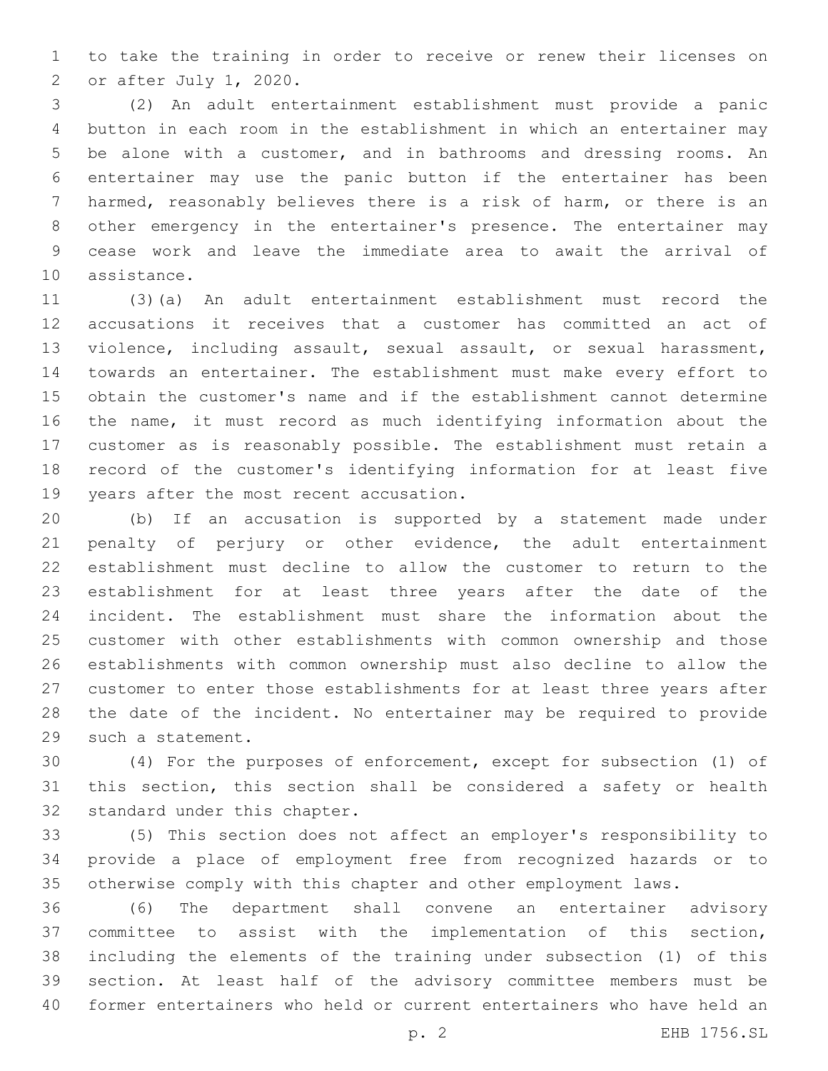to take the training in order to receive or renew their licenses on 2 or after July 1, 2020.

 (2) An adult entertainment establishment must provide a panic button in each room in the establishment in which an entertainer may be alone with a customer, and in bathrooms and dressing rooms. An entertainer may use the panic button if the entertainer has been harmed, reasonably believes there is a risk of harm, or there is an other emergency in the entertainer's presence. The entertainer may cease work and leave the immediate area to await the arrival of 10 assistance.

 (3)(a) An adult entertainment establishment must record the accusations it receives that a customer has committed an act of violence, including assault, sexual assault, or sexual harassment, towards an entertainer. The establishment must make every effort to obtain the customer's name and if the establishment cannot determine the name, it must record as much identifying information about the customer as is reasonably possible. The establishment must retain a record of the customer's identifying information for at least five 19 years after the most recent accusation.

 (b) If an accusation is supported by a statement made under penalty of perjury or other evidence, the adult entertainment establishment must decline to allow the customer to return to the establishment for at least three years after the date of the incident. The establishment must share the information about the customer with other establishments with common ownership and those establishments with common ownership must also decline to allow the customer to enter those establishments for at least three years after the date of the incident. No entertainer may be required to provide 29 such a statement.

 (4) For the purposes of enforcement, except for subsection (1) of this section, this section shall be considered a safety or health 32 standard under this chapter.

 (5) This section does not affect an employer's responsibility to provide a place of employment free from recognized hazards or to otherwise comply with this chapter and other employment laws.

 (6) The department shall convene an entertainer advisory committee to assist with the implementation of this section, including the elements of the training under subsection (1) of this section. At least half of the advisory committee members must be former entertainers who held or current entertainers who have held an

p. 2 EHB 1756.SL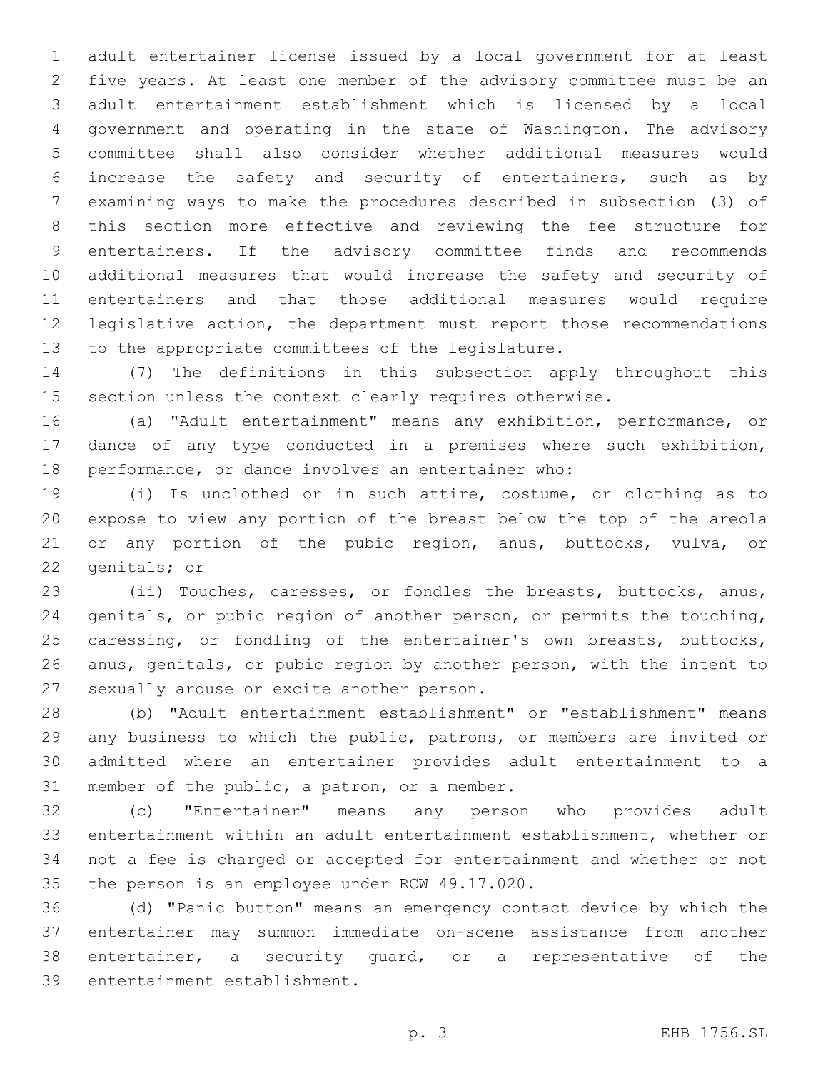adult entertainer license issued by a local government for at least five years. At least one member of the advisory committee must be an adult entertainment establishment which is licensed by a local government and operating in the state of Washington. The advisory committee shall also consider whether additional measures would increase the safety and security of entertainers, such as by examining ways to make the procedures described in subsection (3) of this section more effective and reviewing the fee structure for entertainers. If the advisory committee finds and recommends additional measures that would increase the safety and security of entertainers and that those additional measures would require legislative action, the department must report those recommendations 13 to the appropriate committees of the legislature.

 (7) The definitions in this subsection apply throughout this section unless the context clearly requires otherwise.

 (a) "Adult entertainment" means any exhibition, performance, or dance of any type conducted in a premises where such exhibition, performance, or dance involves an entertainer who:

 (i) Is unclothed or in such attire, costume, or clothing as to expose to view any portion of the breast below the top of the areola 21 or any portion of the pubic region, anus, buttocks, vulva, or 22 genitals; or

 (ii) Touches, caresses, or fondles the breasts, buttocks, anus, genitals, or pubic region of another person, or permits the touching, 25 caressing, or fondling of the entertainer's own breasts, buttocks, anus, genitals, or pubic region by another person, with the intent to 27 sexually arouse or excite another person.

 (b) "Adult entertainment establishment" or "establishment" means any business to which the public, patrons, or members are invited or admitted where an entertainer provides adult entertainment to a 31 member of the public, a patron, or a member.

 (c) "Entertainer" means any person who provides adult entertainment within an adult entertainment establishment, whether or not a fee is charged or accepted for entertainment and whether or not 35 the person is an employee under RCW 49.17.020.

 (d) "Panic button" means an emergency contact device by which the entertainer may summon immediate on-scene assistance from another entertainer, a security guard, or a representative of the 39 entertainment establishment.